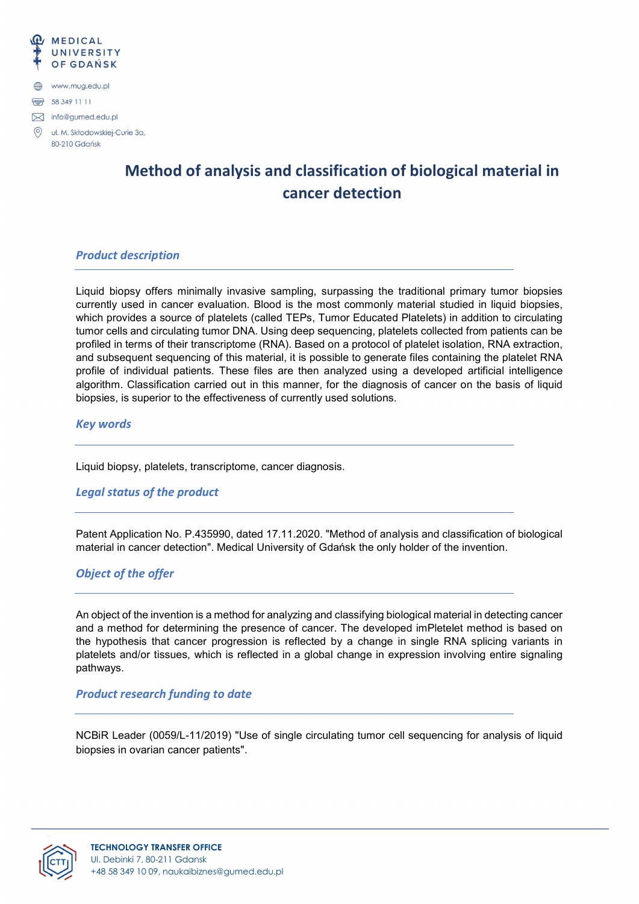

# Method of analysis and classification of biological material in cancer detection

#### Product description

Liquid biopsy offers minimally invasive sampling, surpassing the traditional primary tumor biopsies currently used in cancer evaluation. Blood is the most commonly material studied in liquid biopsies, which provides a source of platelets (called TEPs, Tumor Educated Platelets) in addition to circulating tumor cells and circulating tumor DNA. Using deep sequencing, platelets collected from patients can be profiled in terms of their transcriptome (RNA). Based on a protocol of platelet isolation, RNA extraction, and subsequent sequencing of this material, it is possible to generate files containing the platelet RNA profile of individual patients. These files are then analyzed using a developed artificial intelligence algorithm. Classification carried out in this manner, for the diagnosis of cancer on the basis of liquid biopsies, is superior to the effectiveness of currently used solutions.

#### Key words

Liquid biopsy, platelets, transcriptome, cancer diagnosis.

#### Legal status of the product

Patent Application No. P.435990, dated 17.11.2020. "Method of analysis and classification of biological material in cancer detection". Medical University of Gdańsk the only holder of the invention.

#### Object of the offer

An object of the invention is a method for analyzing and classifying biological material in detecting cancer and a method for determining the presence of cancer. The developed imPletelet method is based on the hypothesis that cancer progression is reflected by a change in single RNA splicing variants in platelets and/or tissues, which is reflected in a global change in expression involving entire signaling pathways.

#### Product research funding to date

NCBiR Leader (0059/L-11/2019) "Use of single circulating tumor cell sequencing for analysis of liquid biopsies in ovarian cancer patients".